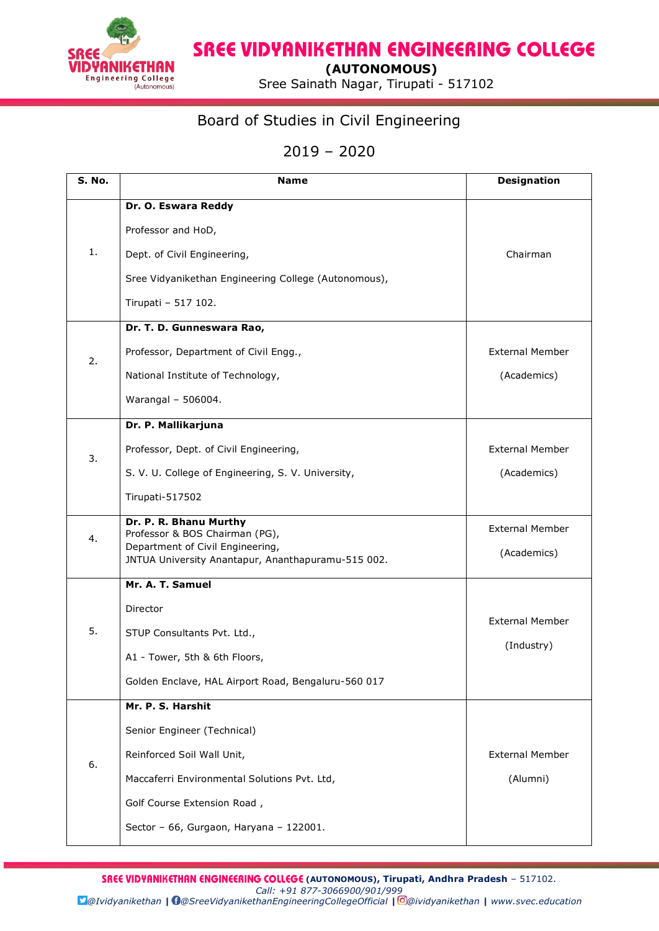

## **SREE VIDYANIKETHAN ENGINEERING COLLEGE**

 **(AUTONOMOUS)**

Engineering College<br>
(ALICOTONOFICUS) Sree Sainath Nagar, Tirupati - 517102

## Board of Studies in Civil Engineering

## 2019 – 2020

| S. No. | <b>Name</b>                                                                                                                                        | <b>Designation</b>                    |
|--------|----------------------------------------------------------------------------------------------------------------------------------------------------|---------------------------------------|
| 1.     | Dr. O. Eswara Reddy                                                                                                                                |                                       |
|        | Professor and HoD,                                                                                                                                 |                                       |
|        | Dept. of Civil Engineering,                                                                                                                        | Chairman                              |
|        | Sree Vidyanikethan Engineering College (Autonomous),                                                                                               |                                       |
|        | Tirupati - 517 102.                                                                                                                                |                                       |
|        | Dr. T. D. Gunneswara Rao,                                                                                                                          |                                       |
| 2.     | Professor, Department of Civil Engg.,                                                                                                              | <b>External Member</b>                |
|        | National Institute of Technology,                                                                                                                  | (Academics)                           |
|        | Warangal - 506004.                                                                                                                                 |                                       |
|        | Dr. P. Mallikarjuna                                                                                                                                |                                       |
| 3.     | Professor, Dept. of Civil Engineering,                                                                                                             | <b>External Member</b>                |
|        | S. V. U. College of Engineering, S. V. University,                                                                                                 | (Academics)                           |
|        | Tirupati-517502                                                                                                                                    |                                       |
| 4.     | Dr. P. R. Bhanu Murthy<br>Professor & BOS Chairman (PG),<br>Department of Civil Engineering,<br>JNTUA University Anantapur, Ananthapuramu-515 002. | <b>External Member</b><br>(Academics) |
|        | Mr. A. T. Samuel                                                                                                                                   |                                       |
|        | Director                                                                                                                                           |                                       |
| 5.     | STUP Consultants Pvt. Ltd.,                                                                                                                        | <b>External Member</b>                |
|        | A1 - Tower, 5th & 6th Floors,                                                                                                                      | (Industry)                            |
|        | Golden Enclave, HAL Airport Road, Bengaluru-560 017                                                                                                |                                       |
|        | Mr. P. S. Harshit                                                                                                                                  |                                       |
|        | Senior Engineer (Technical)                                                                                                                        |                                       |
| 6.     | Reinforced Soil Wall Unit,                                                                                                                         | <b>External Member</b>                |
|        | Maccaferri Environmental Solutions Pvt. Ltd,                                                                                                       | (Alumni)                              |
|        | Golf Course Extension Road,                                                                                                                        |                                       |
|        | Sector - 66, Gurgaon, Haryana - 122001.                                                                                                            |                                       |

**SREE VIDYANIKETHAN ENGINEERING COLLEGE (AUTONOMOUS), Tirupati, Andhra Pradesh - 517102.** *Call: +91 877-3066900/901/999 @Ividyanikethan | @SreeVidyanikethanEngineeringCollegeOfficial | @ividyanikethan | www.svec.education*